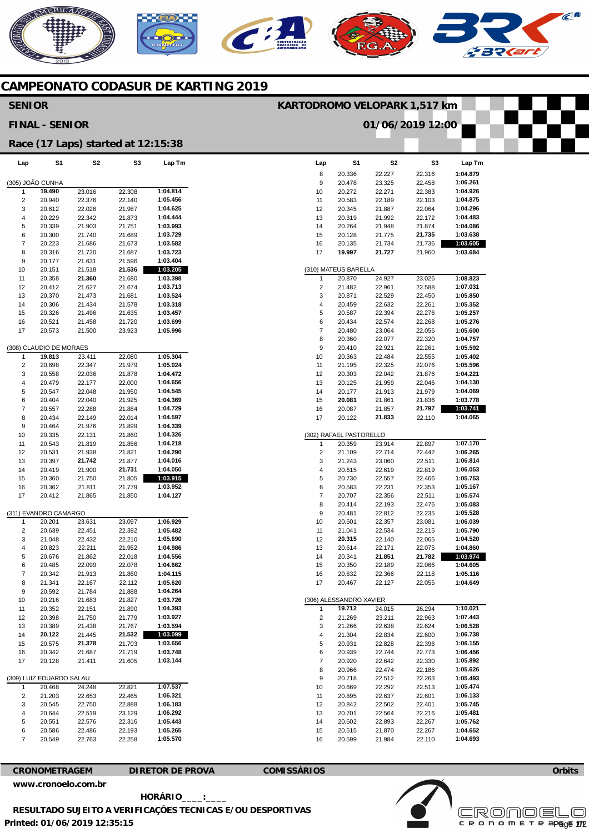## NERICANO

## **CAMPEONATO CODASUR DE KARTING 2019**

## **Lap**  8  $\alpha$ 10 11 12 13 14 15 16 17 (310) MATEUS BARELLA 1 2 3 4 5 6 7 8 9 10 11 12 13 14 15 16 17 (302) RAFAEL PASTORELLO 1 2 3 4 5 6 7 8 9 10 11 12 13 14 15 16 17 (306) ALESSANDRO XAVIER 1  $\overline{2}$  $\overline{a}$ 4 5 6 7 8 9 10 11 12 13 14 15 16 **S1**  20.336 20.478 20.272 20.583 20.345 20.319 20.264 20.128 20.135 **19.997**  20.870 21.482 20.871 20.459 20.587 20.434 20.480 20.360 20.410 20.363 21.195 20.303 20.125 20.177 **20.081**  20.087 20.122 20.359 21.109 21.243 20.615 20.730 20.583 20.707 20.414 20.481 20.601 21.041 **20.315**  20.614 20.341 20.350 20.632 20.467 **19.712**  21.269 21.266 21.304 20.931 20.939 20.920 20.966 20.718 20.669 20.895 20.842 20.701 20.602 20.515 20.599 **S2**  22.227 23.325 22.271 22.189 21.887 21.992 21.948 21.775 21.734 **21.727**  24.927 22.961 22.529 22.632 22.394 22.574 23.064 22.077 22.921 22.484 22.325 22.042 21.959 21.913 21.861 21.857 **21.833**  23.914 22.714 23.060 22.619 22.557 22.231 22.356 22.193 22.812 22.357 22.534 22.140 22.171 **21.851**  22.189 22.366 22.127 24.015 23.211 22.638 22.834 22.828 22.744 22.642 22.474 22.512 22.292 22.637 22.502 22.564 22.893 21.870 21.984 **S3**  22.316 22.458 22.383 22.103 22.064 22.172 21.874 **21.735**  21.736 21.960 23.026 22.588 22.450 22.261 22.276 22.268 22.056 22.320 22.261 22.555 22.076 21.876 22.046 21.979 21.836 **21.797**  22.110 22.897 22.442 22.511 22.819 22.466 22.353 22.511 22.476 22.235 23.081 22.215 22.065 22.075 **21.782**  22.066 22.118 22.055 26.294 22.963 22.624 22.600 22.396 22.773 22.330 22.186 22.263 22.513 22.601 22.401 22.216 22.267 22.267 22.110 **Lap Tm 1:04.879 1:06.261 1:04.926 1:04.875 1:04.296 1:04.483 1:04.086 1:03.638 1:03.605 1:03.684 1:08.823 1:07.031 1:05.850 1:05.352 1:05.257 1:05.276 1:05.600 1:04.757 1:05.592 1:05.402 1:05.596 1:04.221 1:04.130 1:04.069 1:03.778 1:03.741 1:04.065 1:07.170 1:06.265 1:06.814 1:06.053 1:05.753 1:05.167 1:05.574 1:05.083 1:05.528 1:06.039 1:05.790 1:04.520 1:04.860 1:03.974 1:04.605 1:05.116 1:04.649 1:10.021 1:07.443 1:06.528 1:06.738 1:06.155 1:06.456 1:05.892 1:05.626 1:05.493 1:05.474 1:06.133 1:05.745 1:05.481 1:05.762 1:04.652 1:04.693 Lap**  (305) JOÃO CUNHA 1 2 3 4 5 6 7 8 9 10 11 12 13 14 15 16 17 (308) CLAUDIO DE MORAES 1  $\overline{2}$ 3 4 5 6 7 8 9  $10$ 11 12 13 14 15 16 17 (311) EVANDRO CAMARGO 1  $\overline{2}$ 3 4 5 6 7 8 9 10 11 12 13 14 15 16 17 (309) LUIZ EDUARDO SALAU 1  $\overline{2}$ 3 4 5 6 7 **S1 19.490**  20.940 20.612 20.229 20.339 20.300 20.223 20.316 20.177 20.151 20.358 20.412 20.370 20.306 20.326 20.521 20.573 **19.813**  20.698 20.558 20.479 20.547 20.404 20.557 20.434 20.464 20.335 20.543 20.531 20.397 20.419 20.360 20.362 20.412 20.201 20.639 21.048 20.823 20.676 20.485 20.342 21.341 20.592 20.216 20.352 20.398 20.389 **20.122**  20.575 20.342 20.128 20.468 21.203 20.545 20.644 20.551 20.586 20.549 **S2**  23.016 22.376 22.026 22.342 21.903 21.740 21.686 21.720 21.631 21.518 **21.360**  21.627 21.473 21.434 21.496 21.458 21.500 23.411 22.347 22.036 22.177 22.048 22.040 22.288 22.149 21.976 22.131 21.819 21.938 **21.742**  21.900 21.750 21.811 21.865 23.631 22.451 22.432 22.211 21.862 22.099 21.913 22.167 21.784 21.683 22.151 21.750 21.438 21.445 **21.378**  21.687 21.411 248 22.653 22.750 22.519 22.576 22.486 22.763 **S3**  22.308 22.140 21.987 21.873 21.751 21.689 21.673 21.687 21.596 **21.536**  21.680 21.674 21.681 21.578 21.635 21.720 23.923 22.080 21.979 21.878 22.000 21.950 21.925 21.884 22.014 21.899 21.860 21.856 21.821 21.877 **21.731**  21.805 21.779 21.850 23.097 22.392 22.210 21.952 22.018 22.078 21.860 22.112 21.888 21.827 21.890 21.779 21.767 **21.532**  21.703 21.719 21.605 22.821 22.465 22.888 23.129 22.316 22.193 22.258 **Lap Tm 1:04.814 1:05.456 1:04.625 1:04.444 1:03.993 1:03.729 1:03.582 1:03.723 1:03.404 1:03.205 1:03.398 1:03.713 1:03.524 1:03.318 1:03.457 1:03.699 1:05.996 1:05.304 1:05.024 1:04.472 1:04.656 1:04.545 1:04.369 1:04.729 1:04.597 1:04.339 1:04.326 1:04.218 1:04.290 1:04.016 1:04.050 1:03.915 1:03.952 1:04.127 1:06.929 1:05.482 1:05.690 1:04.986 1:04.556 1:04.662 1:04.115 1:05.620 1:04.264 1:03.726 1:04.393 1:03.927 1:03.594 1:03.099 1:03.656 1:03.748 1:03.144 1:07.537 1:06.321 1:06.183 1:06.292 1:05.443 1:05.265 1:05.570 SENIOR FINAL - SENIOR Race (17 Laps) started at 12:15:38 KARTODROMO VELOPARK 1,517 km 01/06/2019 12:00**

**CRONOMETRAGEM DIRETOR DE PROVA COMISSÁRIOS** 

**[www.cronoelo.com.br](http://www.cronoelo.com.br)** 

**Printed: 01/06/2019 12:35:15 HORÁRIO\_\_\_\_:\_\_\_\_ RESULTADO SUJEITO A VERIFICAÇÕES TECNICAS E/OU DESPORTIVAS** 



**Orbits**